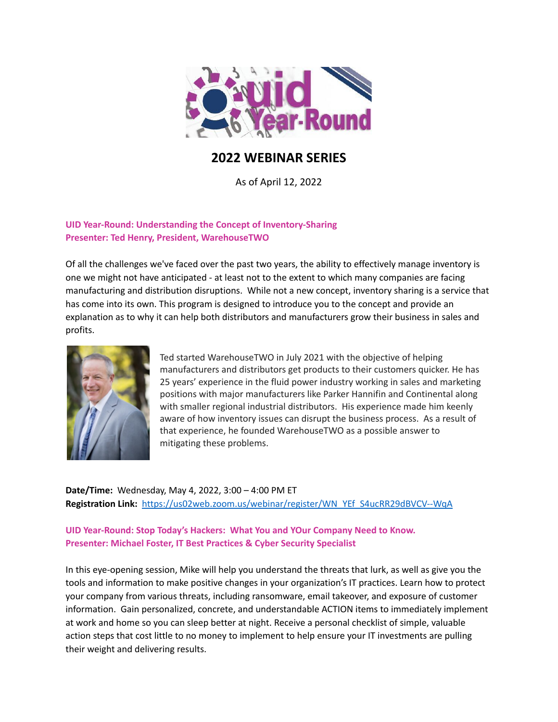

# **2022 WEBINAR SERIES**

As of April 12, 2022

## **UID Year-Round: Understanding the Concept of Inventory-Sharing Presenter: Ted Henry, President, WarehouseTWO**

Of all the challenges we've faced over the past two years, the ability to effectively manage inventory is one we might not have anticipated - at least not to the extent to which many companies are facing manufacturing and distribution disruptions. While not a new concept, inventory sharing is a service that has come into its own. This program is designed to introduce you to the concept and provide an explanation as to why it can help both distributors and manufacturers grow their business in sales and profits.



Ted started WarehouseTWO in July 2021 with the objective of helping manufacturers and distributors get products to their customers quicker. He has 25 years' experience in the fluid power industry working in sales and marketing positions with major manufacturers like Parker Hannifin and Continental along with smaller regional industrial distributors. His experience made him keenly aware of how inventory issues can disrupt the business process. As a result of that experience, he founded WarehouseTWO as a possible answer to mitigating these problems.

**Date/Time:** Wednesday, May 4, 2022, 3:00 – 4:00 PM ET **Registration Link:** [https://us02web.zoom.us/webinar/register/WN\\_YEf\\_S4ucRR29dBVCV--WqA](https://us02web.zoom.us/webinar/register/WN_YEf_S4ucRR29dBVCV--WqA)

#### **UID Year-Round: Stop Today's Hackers: What You and YOur Company Need to Know. Presenter: Michael Foster, IT Best Practices & Cyber Security Specialist**

In this eye-opening session, Mike will help you understand the threats that lurk, as well as give you the tools and information to make positive changes in your organization's IT practices. Learn how to protect your company from various threats, including ransomware, email takeover, and exposure of customer information. Gain personalized, concrete, and understandable ACTION items to immediately implement at work and home so you can sleep better at night. Receive a personal checklist of simple, valuable action steps that cost little to no money to implement to help ensure your IT investments are pulling their weight and delivering results.